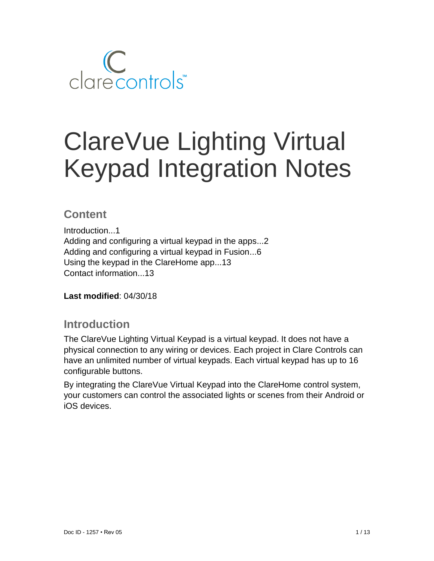

# ClareVue Lighting Virtual Keypad Integration Notes

## **Content**

Introduction...1 Adding and configuring a virtual keypad in the apps...2 Adding and configuring a virtual keypad in Fusion...6 Using the keypad in the ClareHome app...13 Contact information...13

**Last modified**: 04/30/18

### **Introduction**

The ClareVue Lighting Virtual Keypad is a virtual keypad. It does not have a physical connection to any wiring or devices. Each project in Clare Controls can have an unlimited number of virtual keypads. Each virtual keypad has up to 16 configurable buttons.

By integrating the ClareVue Virtual Keypad into the ClareHome control system, your customers can control the associated lights or scenes from their Android or iOS devices.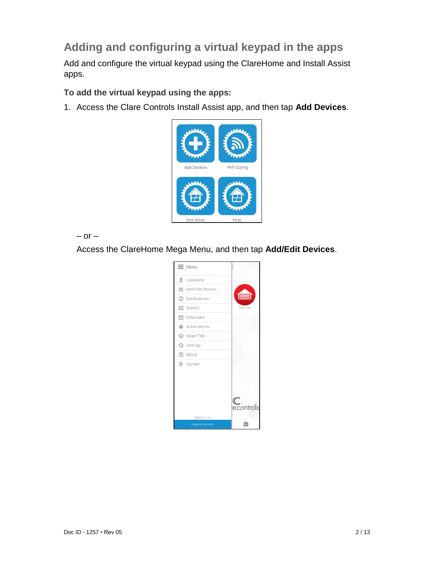# **Adding and configuring a virtual keypad in the apps**

Add and configure the virtual keypad using the ClareHome and Install Assist apps.

**To add the virtual keypad using the apps:** 

1. Access the Clare Controls Install Assist app, and then tap **Add Devices**.



 $-$  or  $-$ 

Access the ClareHome Mega Menu, and then tap **Add/Edit Devices**.

| Menu<br>≕                        |                |
|----------------------------------|----------------|
| ℒ<br>Locations                   |                |
| * Add/Edit Devices               |                |
| Notifications<br>⊕               | 言              |
| ⊠ Scenes                         | Door Two       |
| ■ Schedules                      |                |
| Automations                      |                |
| <b>6</b> Reset PIN               |                |
| Settings                         |                |
| ? About                          |                |
| $\rightarrow$ Signout            | C<br>econtrols |
|                                  |                |
| Signed in as:<br>clare@gmail.com |                |
|                                  |                |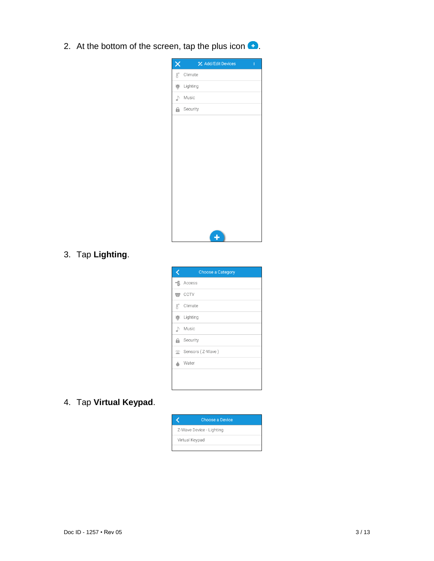2. At the bottom of the screen, tap the plus icon  $\bullet$ .

| X                | <b>½</b> Add/Edit Devices<br>ŧ |
|------------------|--------------------------------|
| $\text{B}^\circ$ | Climate                        |
| $\mathbf{p}$     | Lighting                       |
| ♪                | Music                          |
| Θ.               | Security                       |
|                  |                                |
|                  |                                |
|                  |                                |
|                  |                                |
|                  |                                |
|                  |                                |
|                  |                                |
|                  |                                |
|                  |                                |
|                  |                                |
|                  | Ł                              |

## 3. Tap **Lighting**.

| <b>Choose a Category</b> |
|--------------------------|
| $\exists$ . Access       |
| $\leftrightarrow$ CCTV   |
| g° Climate               |
| <b>M</b> Lighting        |
| ♪ Music                  |
| <b>A</b> Security        |
| Sensors (Z-Wave)         |
| Water                    |
|                          |
|                          |

4. Tap **Virtual Keypad**.

| <b>Choose a Device</b>   |
|--------------------------|
| Z-Wave Device - Lighting |
| Virtual Keypad           |
|                          |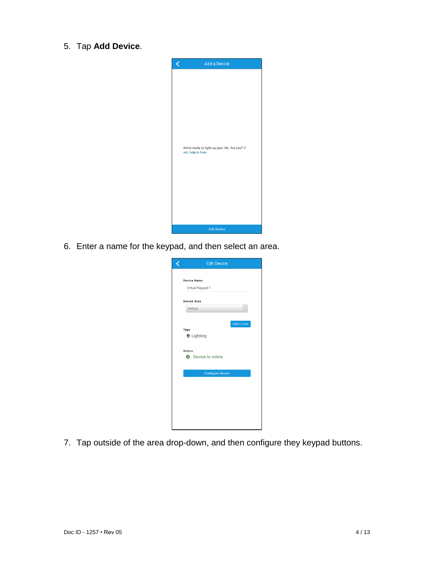5. Tap **Add Device**.



6. Enter a name for the keypad, and then select an area.

| <b>Edit Device</b>        |
|---------------------------|
|                           |
| <b>Device Name</b>        |
| Virtual Keypad 1          |
|                           |
| <b>Device Area</b>        |
| Virtual                   |
|                           |
| Add an Area               |
| Type                      |
| <b>●</b> Lighting         |
|                           |
| <b>Status</b>             |
| <b>O</b> Device is online |
|                           |
| <b>Configure Device</b>   |
|                           |
|                           |
|                           |
|                           |
|                           |
|                           |
|                           |
|                           |

7. Tap outside of the area drop-down, and then configure they keypad buttons.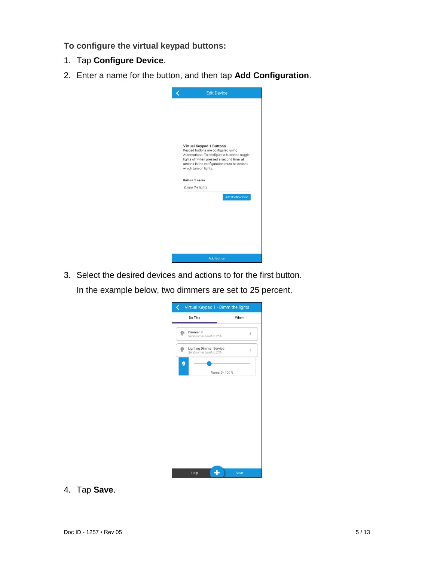**To configure the virtual keypad buttons:** 

- 1. Tap **Configure Device**.
- 2. Enter a name for the button, and then tap **Add Configuration**.

| <b>Edit Device</b>                                                                                                                                                                                         |
|------------------------------------------------------------------------------------------------------------------------------------------------------------------------------------------------------------|
|                                                                                                                                                                                                            |
|                                                                                                                                                                                                            |
| <b>Virtual Keypad 1 Buttons</b>                                                                                                                                                                            |
| Keypad buttons are configured using<br>Automations. To configure a button to toggle<br>lights off when pressed a second time, all<br>actions in the configuration must be actions<br>which turn on lights. |
| <b>Button 1 name</b>                                                                                                                                                                                       |
| Dimm the lights                                                                                                                                                                                            |
| <b>Add Configuration</b>                                                                                                                                                                                   |
|                                                                                                                                                                                                            |
|                                                                                                                                                                                                            |
| <b>Add Button</b>                                                                                                                                                                                          |

3. Select the desired devices and actions to for the first button.

In the example below, two dimmers are set to 25 percent.

| C.                                                        | Virtual Keypad 1 - Dimm the lights |
|-----------------------------------------------------------|------------------------------------|
| Do This                                                   | When                               |
| Dimmer R<br>Set Dimmer Level to 25%                       | ŧ                                  |
| <b>Lighting Dimmer Service</b><br>Set Dimmer Level to 25% | $\vdots$                           |
|                                                           | Range: 0 - 100 %                   |
|                                                           |                                    |
|                                                           |                                    |
|                                                           |                                    |
|                                                           |                                    |
|                                                           |                                    |
|                                                           |                                    |
|                                                           |                                    |
| Help                                                      | Save                               |
|                                                           |                                    |

4. Tap **Save**.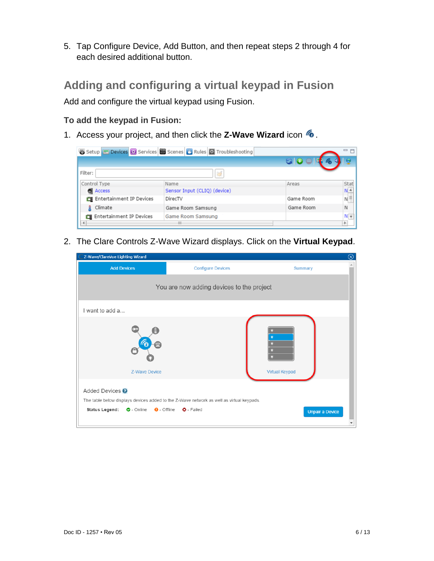5. Tap Configure Device, Add Button, and then repeat steps 2 through 4 for each desired additional button.

# **Adding and configuring a virtual keypad in Fusion**

Add and configure the virtual keypad using Fusion.

#### **To add the keypad in Fusion:**

1. Access your project, and then click the **Z-Wave Wizard** icon .

|                          | Setup Devices <b>&amp;</b> Services Secenes <b>&amp;</b> Rules <b>&amp;</b> Troubleshooting |           | 一日         |
|--------------------------|---------------------------------------------------------------------------------------------|-----------|------------|
|                          |                                                                                             |           |            |
| Filter:                  | 冦                                                                                           |           |            |
| Control Type             | Name                                                                                        | Areas     | Stat       |
| <b>Access</b>            | Sensor Input (CLIQ) (device)                                                                |           | $N^A$      |
| Entertainment IP Devices | DirecTV                                                                                     | Game Room | $N \equiv$ |
| Climate                  | Game Room Samsung                                                                           | Game Room | N          |
| Entertainment IP Devices | Game Room Samsung                                                                           |           |            |
| $\blacktriangleleft$     | Ш                                                                                           |           |            |

2. The Clare Controls Z-Wave Wizard displays. Click on the **Virtual Keypad**.

| Z-Wave/ClareVue Lighting Wizard                                                            |                                                                                                               | $\circledcirc$         |
|--------------------------------------------------------------------------------------------|---------------------------------------------------------------------------------------------------------------|------------------------|
| <b>Add Devices</b>                                                                         | <b>Configure Devices</b>                                                                                      | Summary                |
|                                                                                            | You are now adding devices to the project                                                                     |                        |
| I want to add a                                                                            |                                                                                                               |                        |
| <b>Z-Wave Device</b>                                                                       |                                                                                                               | <b>Virtual Keypad</b>  |
| Added Devices <sup>?</sup><br><b>Status Legend:</b> $\bullet$ - Online $\bullet$ - Offline | The table below displays devices added to the Z-Wave network as well as virtual keypads.<br><b>Q</b> - Failed | <b>Unpair a Device</b> |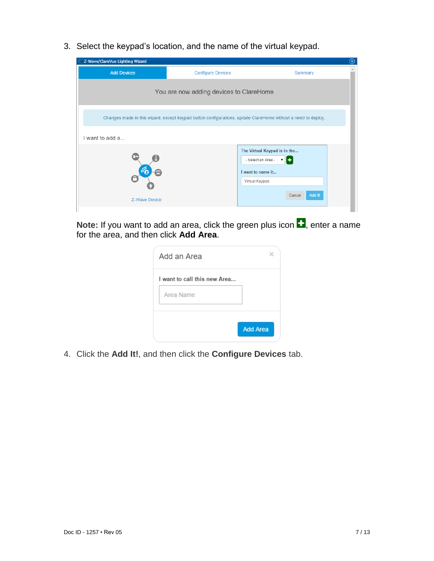3. Select the keypad's location, and the name of the virtual keypad.



**Note:** If you want to add an area, click the green plus icon  $\blacksquare$ , enter a name for the area, and then click **Add Area**.

| <b>Add Area</b> |
|-----------------|
|                 |

4. Click the **Add It!**, and then click the **Configure Devices** tab.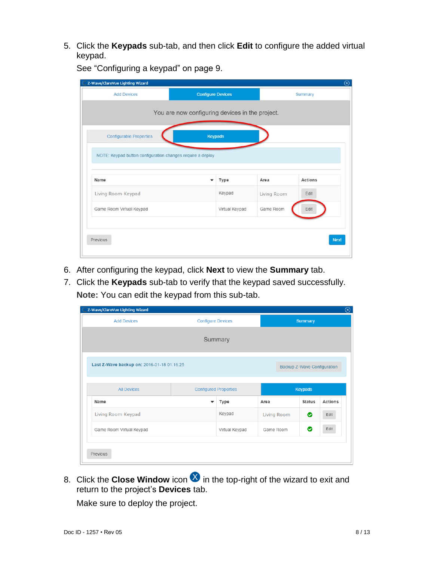5. Click the **Keypads** sub-tab, and then click **Edit** to configure the added virtual keypad.

See ["Configuring a keypad"](#page-8-0) on page [9.](#page-8-0)

| <b>Add Devices</b>                                         | <b>Configure Devices</b>                        |                |             | Summary     |
|------------------------------------------------------------|-------------------------------------------------|----------------|-------------|-------------|
|                                                            |                                                 |                |             |             |
|                                                            | You are now configuring devices in the project. |                |             |             |
|                                                            |                                                 |                |             |             |
| <b>Configurable Properties</b>                             | <b>Keypads</b>                                  |                |             |             |
|                                                            |                                                 |                |             |             |
| NOTE: Keypad button configuration changes require a deploy |                                                 |                |             |             |
|                                                            |                                                 |                |             |             |
|                                                            |                                                 |                |             |             |
| Name                                                       |                                                 | Type           | Area        | Actions     |
| Living Room Keypad                                         |                                                 | Keypad         | Living Room | Edit        |
| Game Room Virtual Keypad                                   |                                                 | Virtual Keypad | Game Room   | Edit        |
|                                                            |                                                 |                |             |             |
|                                                            |                                                 |                |             |             |
| Previous                                                   |                                                 |                |             | <b>Next</b> |

- 6. After configuring the keypad, click **Next** to view the **Summary** tab.
- 7. Click the **Keypads** sub-tab to verify that the keypad saved successfully. **Note:** You can edit the keypad from this sub-tab.

| Z-Wave/ClareVue Lighting Wizard                                      |                          |                |             |                             |         |  |
|----------------------------------------------------------------------|--------------------------|----------------|-------------|-----------------------------|---------|--|
| <b>Add Devices</b>                                                   | <b>Configure Devices</b> |                |             | <b>Summary</b>              |         |  |
| Summary                                                              |                          |                |             |                             |         |  |
| Last Z-Wave backup on: 2016-01-18 01:16:25                           |                          |                |             | Backup Z-Wave Configuration |         |  |
| <b>Configured Properties</b><br><b>Keypads</b><br><b>All Devices</b> |                          |                |             |                             |         |  |
| Name                                                                 |                          | Type           | Area        | <b>Status</b>               | Actions |  |
| Living Room Keypad                                                   |                          | Keypad         | Living Room | ◎                           | Edit    |  |
| Game Room Virtual Keypad                                             |                          | Virtual Keypad | Game Room   | ◉                           | Edit    |  |
| Previous                                                             |                          |                |             |                             |         |  |

8. Click the **Close Window** icon **ight** in the top-right of the wizard to exit and return to the project's **Devices** tab.

Make sure to deploy the project.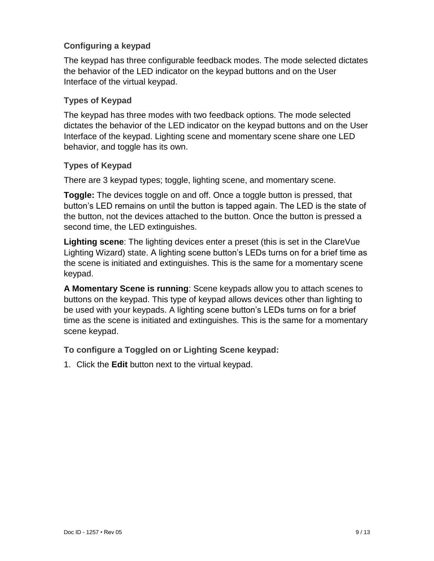#### <span id="page-8-0"></span>**Configuring a keypad**

The keypad has three configurable feedback modes. The mode selected dictates the behavior of the LED indicator on the keypad buttons and on the User Interface of the virtual keypad.

#### **Types of Keypad**

The keypad has three modes with two feedback options. The mode selected dictates the behavior of the LED indicator on the keypad buttons and on the User Interface of the keypad. Lighting scene and momentary scene share one LED behavior, and toggle has its own.

#### **Types of Keypad**

There are 3 keypad types; toggle, lighting scene, and momentary scene.

**Toggle:** The devices toggle on and off. Once a toggle button is pressed, that button's LED remains on until the button is tapped again. The LED is the state of the button, not the devices attached to the button. Once the button is pressed a second time, the LED extinguishes.

**Lighting scene**: The lighting devices enter a preset (this is set in the ClareVue Lighting Wizard) state. A lighting scene button's LEDs turns on for a brief time as the scene is initiated and extinguishes. This is the same for a momentary scene keypad.

**A Momentary Scene is running**: Scene keypads allow you to attach scenes to buttons on the keypad. This type of keypad allows devices other than lighting to be used with your keypads. A lighting scene button's LEDs turns on for a brief time as the scene is initiated and extinguishes. This is the same for a momentary scene keypad.

#### **To configure a Toggled on or Lighting Scene keypad:**

1. Click the **Edit** button next to the virtual keypad.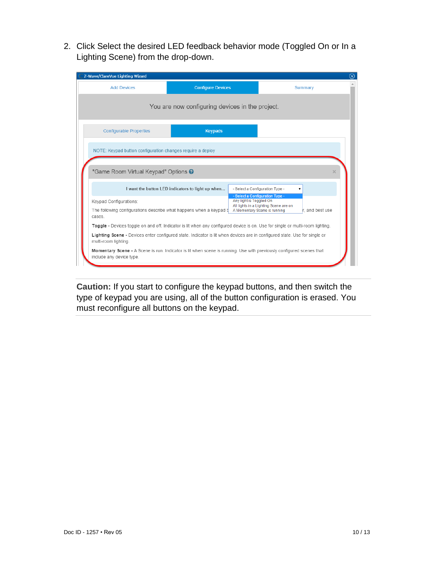2. Click Select the desired LED feedback behavior mode (Toggled On or In a Lighting Scene) from the drop-down.

| Z-Wave/ClareVue Lighting Wizard                                                                                                                   |                                                   |                                                            | $\circledR$                                                                              |
|---------------------------------------------------------------------------------------------------------------------------------------------------|---------------------------------------------------|------------------------------------------------------------|------------------------------------------------------------------------------------------|
| <b>Add Devices</b>                                                                                                                                | <b>Configure Devices</b>                          |                                                            | Summary                                                                                  |
|                                                                                                                                                   | You are now configuring devices in the project.   |                                                            |                                                                                          |
| <b>Configurable Properties</b>                                                                                                                    | <b>Keypads</b>                                    |                                                            |                                                                                          |
| NOTE: Keypad button configuration changes require a deploy                                                                                        |                                                   |                                                            |                                                                                          |
| "Game Room Virtual Keypad" Options @                                                                                                              |                                                   |                                                            |                                                                                          |
|                                                                                                                                                   | I want the button LED indicators to light up when |                                                            | - Select a Configuration Type -                                                          |
| Keypad Configurations:                                                                                                                            |                                                   | - Select a Configuration Type -<br>Any light is Toggled On |                                                                                          |
| The following configurations describe what happens when a keypad b<br>cases.                                                                      |                                                   |                                                            | All lights in a Lighting Scene are on<br>r. and best use<br>A Momentary Scene is running |
| Toggle - Devices toggle on and off. Indicator is lit when any configured device is on. Use for single or multi-room lighting.                     |                                                   |                                                            |                                                                                          |
| Lighting Scene - Devices enter configured state. Indicator is lit when devices are in configured state. Use for single or<br>multi-room lighting. |                                                   |                                                            |                                                                                          |
| Momentary Scene - A Scene is run. Indicator is lit when scene is running. Use with previously configured scenes that<br>include any device type.  |                                                   |                                                            |                                                                                          |

**Caution:** If you start to configure the keypad buttons, and then switch the type of keypad you are using, all of the button configuration is erased. You must reconfigure all buttons on the keypad.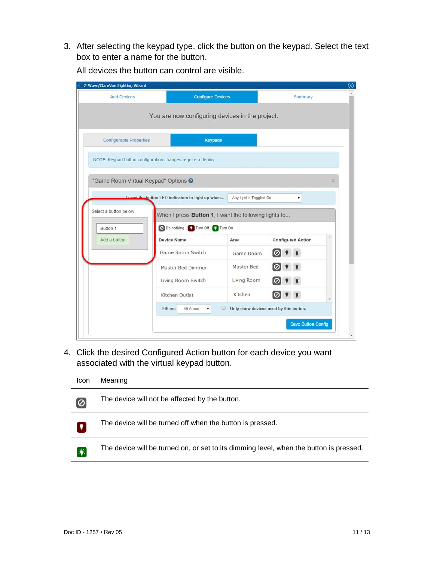3. After selecting the keypad type, click the button on the keypad. Select the text box to enter a name for the button.

| Z-Wave/ClareVue Lighting Wizard |                                                            |                         |                                        |
|---------------------------------|------------------------------------------------------------|-------------------------|----------------------------------------|
| <b>Add Devices</b>              | <b>Configure Devices</b>                                   |                         | Summary                                |
|                                 | You are now configuring devices in the project.            |                         |                                        |
| <b>Configurable Properties</b>  | <b>Keypads</b>                                             |                         |                                        |
|                                 | NOTE: Keypad button configuration changes require a deploy |                         |                                        |
|                                 | "Game Room Virtual Keypad" Options @                       |                         | ×                                      |
|                                 | Lwant the button LED indicators to light up when           | Any light is Toggled On | ۳.                                     |
| Select a button below           | When I press Button 1, I want the following lights to      |                         |                                        |
| Button 1                        | O Do nothing Turn Off & Turn On                            |                         |                                        |
| Add a button                    | Device Name                                                | Area                    | <b>Configured Action</b>               |
|                                 | Game Room Switch                                           | Game Room               |                                        |
|                                 | Master Bed Dimmer                                          | Master Bed              | 01                                     |
|                                 |                                                            |                         |                                        |
|                                 | Living Room Switch                                         | Living Room             | 10                                     |
|                                 | Kitchen Outlet                                             | Kitchen                 |                                        |
|                                 | Filters:<br>- All Areas -<br>۰.                            | 8                       | Only show devices used by this button. |

All devices the button can control are visible.

4. Click the desired Configured Action button for each device you want associated with the virtual keypad button.

Icon Meaning



The device will not be affected by the button.



 $\mathbf{F}$ 

The device will be turned off when the button is pressed.

The device will be turned on, or set to its dimming level, when the button is pressed.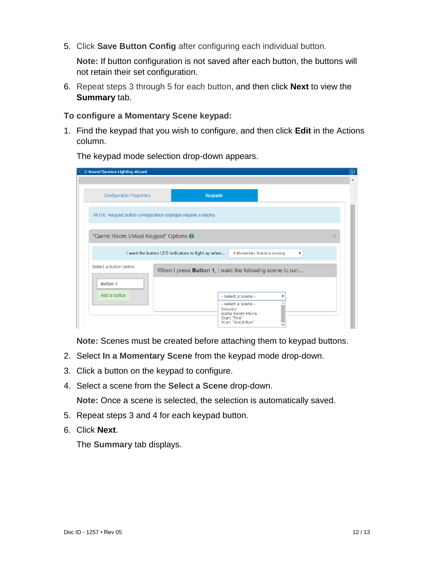5. Click **Save Button Config** after configuring each individual button.

**Note:** If button configuration is not saved after each button, the buttons will not retain their set configuration.

6. Repeat steps 3 through 5 for each button, and then click **Next** to view the **Summary** tab.

#### **To configure a Momentary Scene keypad:**

1. Find the keypad that you wish to configure, and then click **Edit** in the Actions column.

| Z-Wave/ClareVue Lighting Wizard                            |                                                                                                                    | $\rm \odot$ |
|------------------------------------------------------------|--------------------------------------------------------------------------------------------------------------------|-------------|
|                                                            |                                                                                                                    |             |
| <b>Configurable Properties</b>                             | <b>Keypads</b>                                                                                                     |             |
| NOTE: Keypad button configuration changes require a deploy |                                                                                                                    |             |
| "Game Room Virtual Keypad" Options @                       |                                                                                                                    | $\times$    |
|                                                            | I want the button LED indicators to light up when<br>A Momentary Scene is running                                  |             |
| Select a button below                                      | When I press <b>Button 1</b> , I want the following scene to run                                                   |             |
| Button 1<br>Add a button                                   | - Select a Scene -<br>- Select a Scene -<br>Security<br><b>Game Room Movie</b><br>Start "Fire"<br>Start "Good Bye" |             |

The keypad mode selection drop-down appears.

**Note:** Scenes must be created before attaching them to keypad buttons.

- 2. Select **In a Momentary Scene** from the keypad mode drop-down.
- 3. Click a button on the keypad to configure.
- 4. Select a scene from the **Select a Scene** drop-down.

**Note:** Once a scene is selected, the selection is automatically saved.

- 5. Repeat steps 3 and 4 for each keypad button.
- 6. Click **Next**.

The **Summary** tab displays.